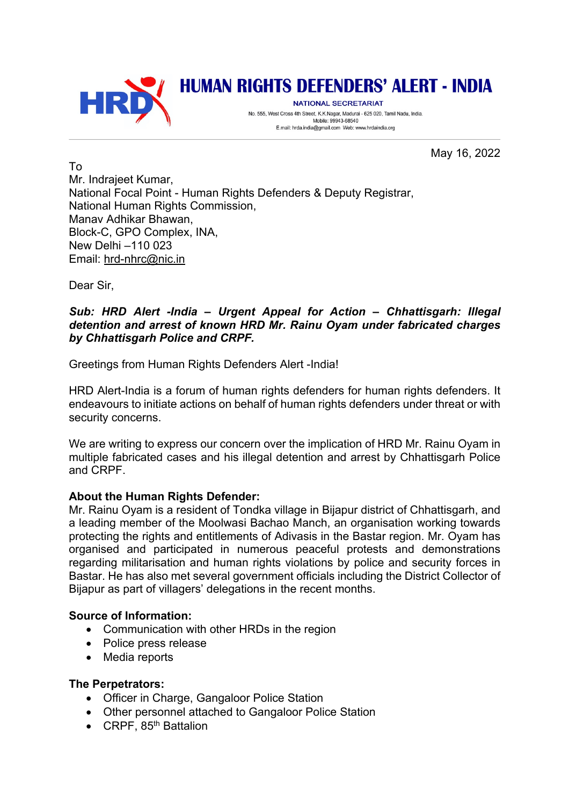

# **HUMAN RIGHTS DEFENDERS' ALERT - INDIA**

NATIONAL SECRETARIAT No. 555, West Cross 4th Street, K.K.Nagar, Madurai - 625 020, Tamil Nadu, India. Mobile: 99943-68540 E.mail: hrda.india@gmail.com Web: www.hrdaindia.org

May 16, 2022

To Mr. Indrajeet Kumar, National Focal Point - Human Rights Defenders & Deputy Registrar, National Human Rights Commission. Manav Adhikar Bhawan, Block-C, GPO Complex, INA, New Delhi –110 023 Email: hrd-nhrc@nic.in

Dear Sir,

### *Sub: HRD Alert -India – Urgent Appeal for Action – Chhattisgarh: Illegal detention and arrest of known HRD Mr. Rainu Oyam under fabricated charges by Chhattisgarh Police and CRPF.*

Greetings from Human Rights Defenders Alert -India!

HRD Alert-India is a forum of human rights defenders for human rights defenders. It endeavours to initiate actions on behalf of human rights defenders under threat or with security concerns.

We are writing to express our concern over the implication of HRD Mr. Rainu Oyam in multiple fabricated cases and his illegal detention and arrest by Chhattisgarh Police and CRPF.

### **About the Human Rights Defender:**

Mr. Rainu Oyam is a resident of Tondka village in Bijapur district of Chhattisgarh, and a leading member of the Moolwasi Bachao Manch, an organisation working towards protecting the rights and entitlements of Adivasis in the Bastar region. Mr. Oyam has organised and participated in numerous peaceful protests and demonstrations regarding militarisation and human rights violations by police and security forces in Bastar. He has also met several government officials including the District Collector of Bijapur as part of villagers' delegations in the recent months.

### **Source of Information:**

- Communication with other HRDs in the region
- Police press release
- Media reports

### **The Perpetrators:**

- Officer in Charge, Gangaloor Police Station
- Other personnel attached to Gangaloor Police Station
- CRPF,  $85<sup>th</sup>$  Battalion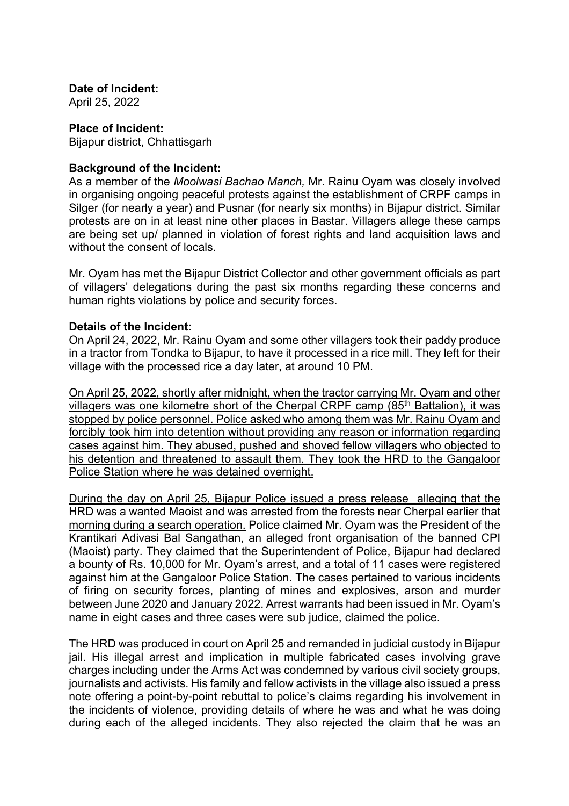**Date of Incident:**

April 25, 2022

## **Place of Incident:**

Bijapur district, Chhattisgarh

### **Background of the Incident:**

As a member of the *Moolwasi Bachao Manch,* Mr. Rainu Oyam was closely involved in organising ongoing peaceful protests against the establishment of CRPF camps in Silger (for nearly a year) and Pusnar (for nearly six months) in Bijapur district. Similar protests are on in at least nine other places in Bastar. Villagers allege these camps are being set up/ planned in violation of forest rights and land acquisition laws and without the consent of locals.

Mr. Oyam has met the Bijapur District Collector and other government officials as part of villagers' delegations during the past six months regarding these concerns and human rights violations by police and security forces.

#### **Details of the Incident:**

On April 24, 2022, Mr. Rainu Oyam and some other villagers took their paddy produce in a tractor from Tondka to Bijapur, to have it processed in a rice mill. They left for their village with the processed rice a day later, at around 10 PM.

On April 25, 2022, shortly after midnight, when the tractor carrying Mr. Oyam and other villagers was one kilometre short of the Cherpal CRPF camp (85<sup>th</sup> Battalion), it was stopped by police personnel. Police asked who among them was Mr. Rainu Oyam and forcibly took him into detention without providing any reason or information regarding cases against him. They abused, pushed and shoved fellow villagers who objected to his detention and threatened to assault them. They took the HRD to the Gangaloor Police Station where he was detained overnight.

During the day on April 25, Bijapur Police issued a press release alleging that the HRD was a wanted Maoist and was arrested from the forests near Cherpal earlier that morning during a search operation. Police claimed Mr. Oyam was the President of the Krantikari Adivasi Bal Sangathan, an alleged front organisation of the banned CPI (Maoist) party. They claimed that the Superintendent of Police, Bijapur had declared a bounty of Rs. 10,000 for Mr. Oyam's arrest, and a total of 11 cases were registered against him at the Gangaloor Police Station. The cases pertained to various incidents of firing on security forces, planting of mines and explosives, arson and murder between June 2020 and January 2022. Arrest warrants had been issued in Mr. Oyam's name in eight cases and three cases were sub judice, claimed the police.

The HRD was produced in court on April 25 and remanded in judicial custody in Bijapur jail. His illegal arrest and implication in multiple fabricated cases involving grave charges including under the Arms Act was condemned by various civil society groups, journalists and activists. His family and fellow activists in the village also issued a press note offering a point-by-point rebuttal to police's claims regarding his involvement in the incidents of violence, providing details of where he was and what he was doing during each of the alleged incidents. They also rejected the claim that he was an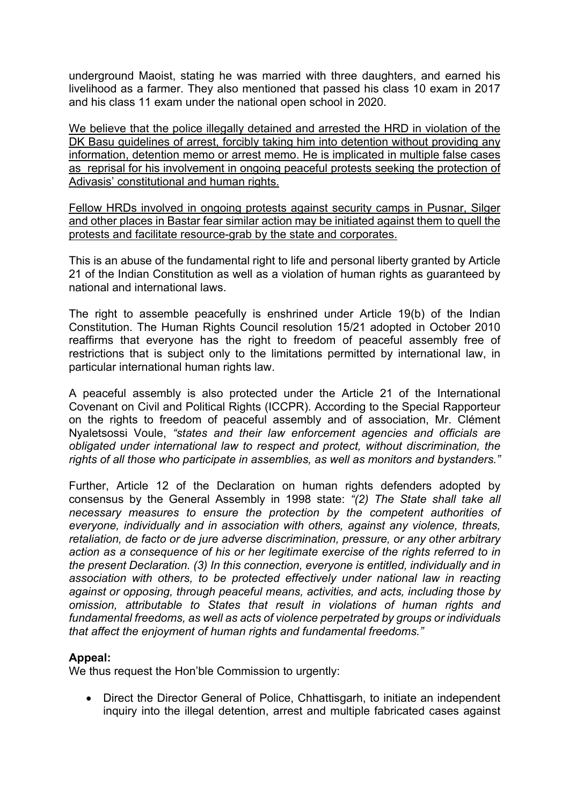underground Maoist, stating he was married with three daughters, and earned his livelihood as a farmer. They also mentioned that passed his class 10 exam in 2017 and his class 11 exam under the national open school in 2020.

We believe that the police illegally detained and arrested the HRD in violation of the DK Basu guidelines of arrest, forcibly taking him into detention without providing any information, detention memo or arrest memo. He is implicated in multiple false cases as reprisal for his involvement in ongoing peaceful protests seeking the protection of Adivasis' constitutional and human rights.

Fellow HRDs involved in ongoing protests against security camps in Pusnar, Silger and other places in Bastar fear similar action may be initiated against them to quell the protests and facilitate resource-grab by the state and corporates.

This is an abuse of the fundamental right to life and personal liberty granted by Article 21 of the Indian Constitution as well as a violation of human rights as guaranteed by national and international laws.

The right to assemble peacefully is enshrined under Article 19(b) of the Indian Constitution. The Human Rights Council resolution 15/21 adopted in October 2010 reaffirms that everyone has the right to freedom of peaceful assembly free of restrictions that is subject only to the limitations permitted by international law, in particular international human rights law.

A peaceful assembly is also protected under the Article 21 of the International Covenant on Civil and Political Rights (ICCPR). According to the Special Rapporteur on the rights to freedom of peaceful assembly and of association, Mr. Clément Nyaletsossi Voule, *"states and their law enforcement agencies and officials are obligated under international law to respect and protect, without discrimination, the rights of all those who participate in assemblies, as well as monitors and bystanders."*

Further, Article 12 of the Declaration on human rights defenders adopted by consensus by the General Assembly in 1998 state: *"(2) The State shall take all necessary measures to ensure the protection by the competent authorities of everyone, individually and in association with others, against any violence, threats, retaliation, de facto or de jure adverse discrimination, pressure, or any other arbitrary action as a consequence of his or her legitimate exercise of the rights referred to in the present Declaration. (3) In this connection, everyone is entitled, individually and in association with others, to be protected effectively under national law in reacting against or opposing, through peaceful means, activities, and acts, including those by omission, attributable to States that result in violations of human rights and fundamental freedoms, as well as acts of violence perpetrated by groups or individuals that affect the enjoyment of human rights and fundamental freedoms."* 

### **Appeal:**

We thus request the Hon'ble Commission to urgently:

• Direct the Director General of Police, Chhattisgarh, to initiate an independent inquiry into the illegal detention, arrest and multiple fabricated cases against